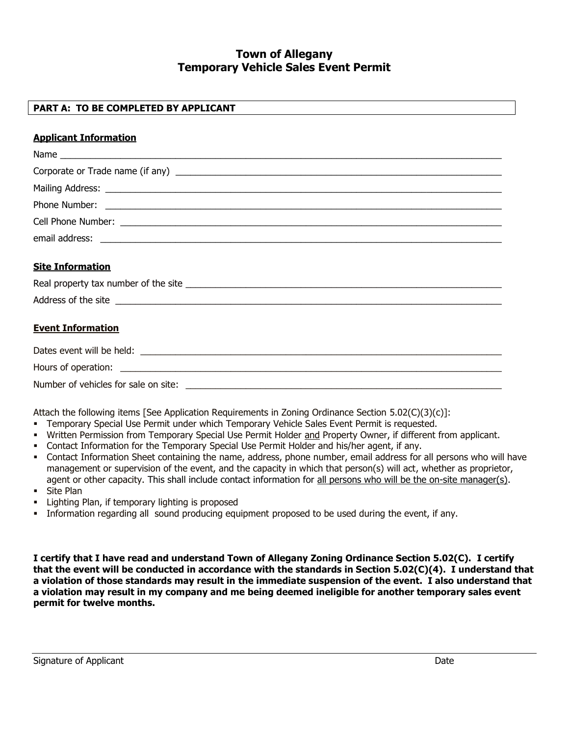# **Town of Allegany Temporary Vehicle Sales Event Permit**

## **PART A: TO BE COMPLETED BY APPLICANT**

#### **Applicant Information**

#### **Site Information**

| Real property tax number of the site |  |
|--------------------------------------|--|
| Address of the site                  |  |

### **Event Information**

| Dates event will be held:            |  |
|--------------------------------------|--|
| Hours of operation:                  |  |
| Number of vehicles for sale on site: |  |

Attach the following items [See Application Requirements in Zoning Ordinance Section 5.02(C)(3)(c)]:

- Temporary Special Use Permit under which Temporary Vehicle Sales Event Permit is requested.
- Written Permission from Temporary Special Use Permit Holder and Property Owner, if different from applicant.
- Contact Information for the Temporary Special Use Permit Holder and his/her agent, if any.
- Contact Information Sheet containing the name, address, phone number, email address for all persons who will have management or supervision of the event, and the capacity in which that person(s) will act, whether as proprietor, agent or other capacity. This shall include contact information for all persons who will be the on-site manager(s).
- Site Plan
- **Example 1** Lighting Plan, if temporary lighting is proposed
- Information regarding all sound producing equipment proposed to be used during the event, if any.

**I certify that I have read and understand Town of Allegany Zoning Ordinance Section 5.02(C). I certify that the event will be conducted in accordance with the standards in Section 5.02(C)(4). I understand that a violation of those standards may result in the immediate suspension of the event. I also understand that a violation may result in my company and me being deemed ineligible for another temporary sales event permit for twelve months.**